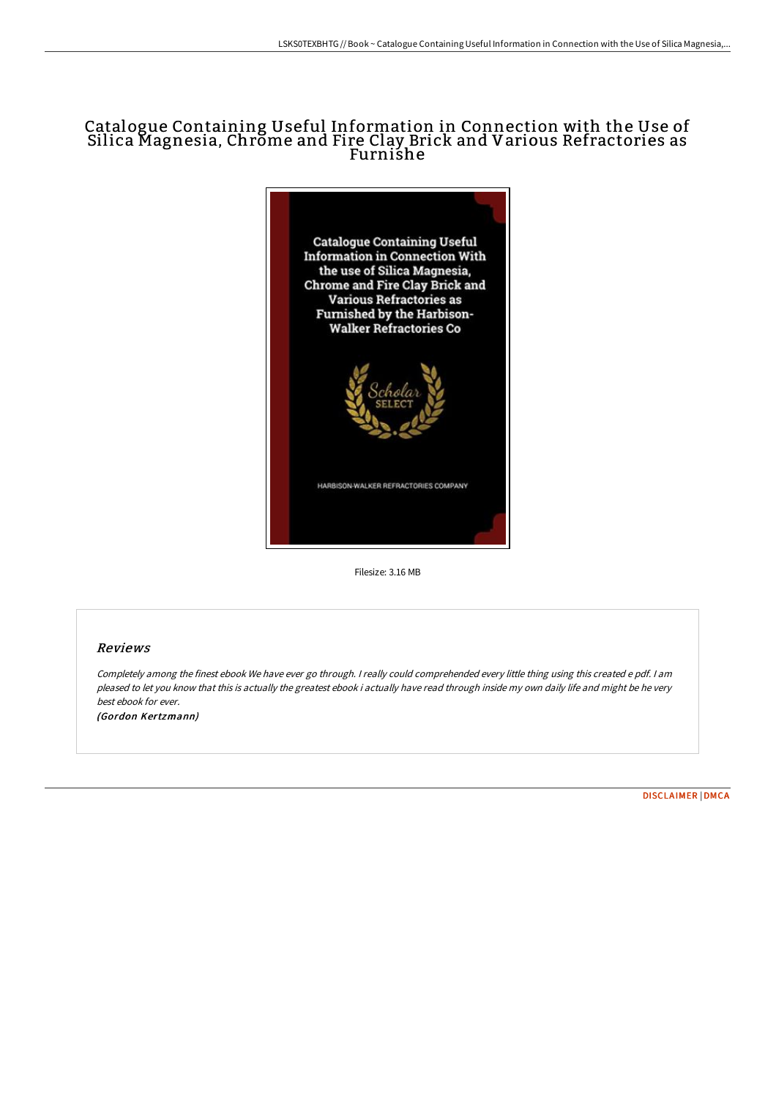## Catalogue Containing Useful Information in Connection with the Use of Silica Magnesia, Chrome and Fire Clay Brick and Various Refractories as Furnishe



Filesize: 3.16 MB

## Reviews

Completely among the finest ebook We have ever go through. <sup>I</sup> really could comprehended every little thing using this created <sup>e</sup> pdf. <sup>I</sup> am pleased to let you know that this is actually the greatest ebook i actually have read through inside my own daily life and might be he very best ebook for ever. (Gordon Kertzmann)

[DISCLAIMER](http://digilib.live/disclaimer.html) | [DMCA](http://digilib.live/dmca.html)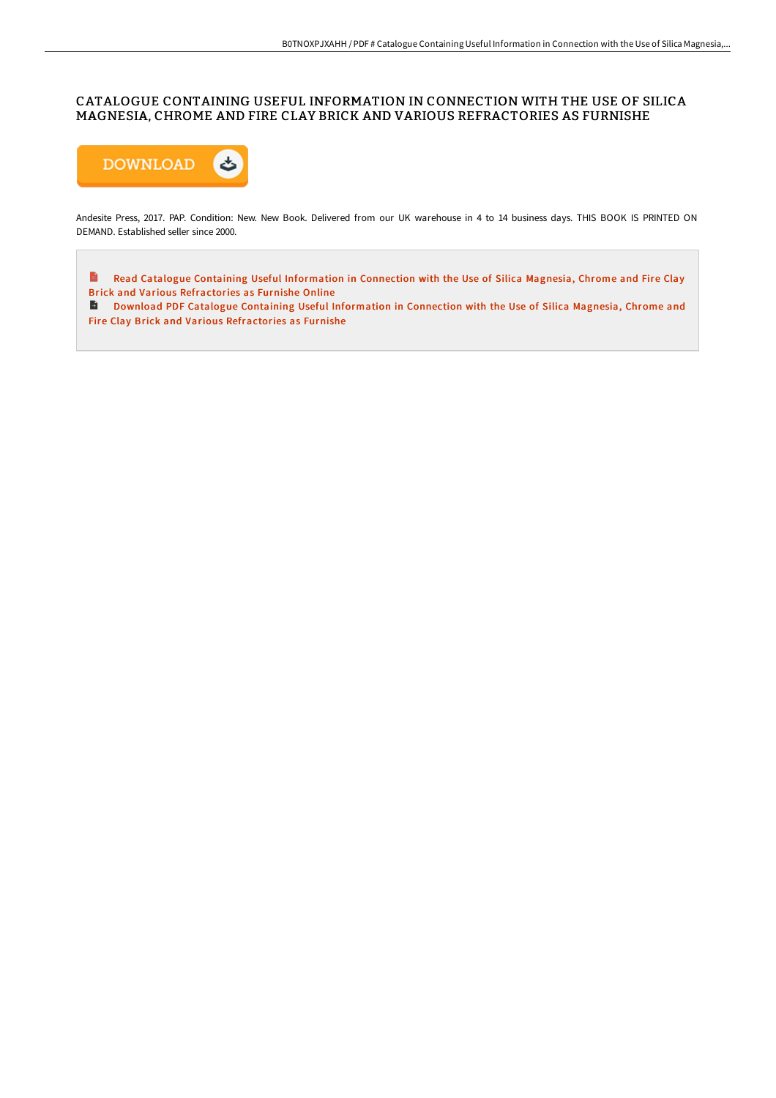## CATALOGUE CONTAINING USEFUL INFORMATION IN CONNECTION WITH THE USE OF SILICA MAGNESIA, CHROME AND FIRE CLAY BRICK AND VARIOUS REFRACTORIES AS FURNISHE



Andesite Press, 2017. PAP. Condition: New. New Book. Delivered from our UK warehouse in 4 to 14 business days. THIS BOOK IS PRINTED ON DEMAND. Established seller since 2000.

 $\qquad \qquad \blacksquare$ Read Catalogue Containing Useful Information in Connection with the Use of Silica Magnesia, Chrome and Fire Clay Brick and Various [Refractories](http://digilib.live/catalogue-containing-useful-information-in-conne-1.html) as Furnishe Online

Download PDF Catalogue Containing Useful [Information](http://digilib.live/catalogue-containing-useful-information-in-conne-1.html) in Connection with the Use of Silica Magnesia, Chrome and Fire Clay Brick and Various Refractories as Furnishe